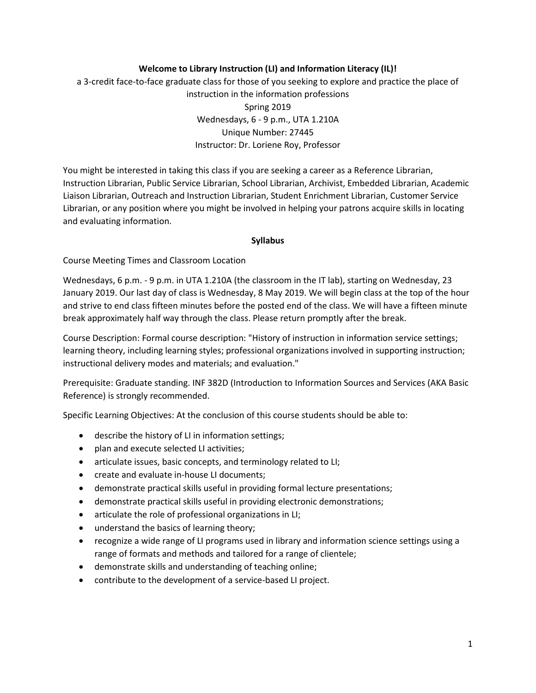## **Welcome to Library Instruction (LI) and Information Literacy (IL)!**

a 3-credit face-to-face graduate class for those of you seeking to explore and practice the place of instruction in the information professions Spring 2019 Wednesdays, 6 - 9 p.m., UTA 1.210A Unique Number: 27445 Instructor: Dr. Loriene Roy, Professor

You might be interested in taking this class if you are seeking a career as a Reference Librarian, Instruction Librarian, Public Service Librarian, School Librarian, Archivist, Embedded Librarian, Academic Liaison Librarian, Outreach and Instruction Librarian, Student Enrichment Librarian, Customer Service Librarian, or any position where you might be involved in helping your patrons acquire skills in locating and evaluating information.

## **Syllabus**

Course Meeting Times and Classroom Location

Wednesdays, 6 p.m. - 9 p.m. in UTA 1.210A (the classroom in the IT lab), starting on Wednesday, 23 January 2019. Our last day of class is Wednesday, 8 May 2019. We will begin class at the top of the hour and strive to end class fifteen minutes before the posted end of the class. We will have a fifteen minute break approximately half way through the class. Please return promptly after the break.

Course Description: Formal course description: "History of instruction in information service settings; learning theory, including learning styles; professional organizations involved in supporting instruction; instructional delivery modes and materials; and evaluation."

Prerequisite: Graduate standing. INF 382D (Introduction to Information Sources and Services (AKA Basic Reference) is strongly recommended.

Specific Learning Objectives: At the conclusion of this course students should be able to:

- describe the history of LI in information settings;
- plan and execute selected LI activities;
- articulate issues, basic concepts, and terminology related to LI;
- create and evaluate in-house LI documents;
- demonstrate practical skills useful in providing formal lecture presentations;
- demonstrate practical skills useful in providing electronic demonstrations;
- articulate the role of professional organizations in LI;
- understand the basics of learning theory;
- recognize a wide range of LI programs used in library and information science settings using a range of formats and methods and tailored for a range of clientele;
- demonstrate skills and understanding of teaching online;
- contribute to the development of a service-based LI project.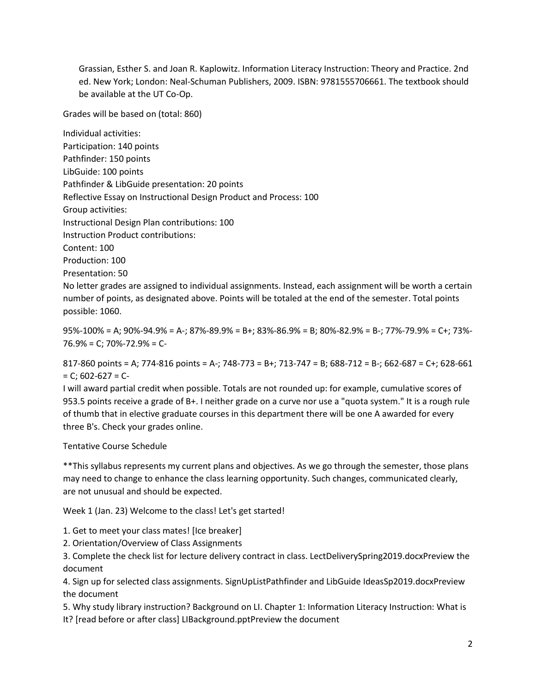Grassian, Esther S. and Joan R. Kaplowitz. Information Literacy Instruction: Theory and Practice. 2nd ed. New York; London: Neal-Schuman Publishers, 2009. ISBN: 9781555706661. The textbook should be available at the UT Co-Op.

Grades will be based on (total: 860)

Individual activities: Participation: 140 points Pathfinder: 150 points LibGuide: 100 points Pathfinder & LibGuide presentation: 20 points Reflective Essay on Instructional Design Product and Process: 100 Group activities: Instructional Design Plan contributions: 100 Instruction Product contributions: Content: 100 Production: 100 Presentation: 50 No letter grades are assigned to individual assignments. Instead, each assignment will be worth a certain

number of points, as designated above. Points will be totaled at the end of the semester. Total points possible: 1060.

95%-100% = A; 90%-94.9% = A-; 87%-89.9% = B+; 83%-86.9% = B; 80%-82.9% = B-; 77%-79.9% = C+; 73%- 76.9% = C; 70%-72.9% = C-

817-860 points = A; 774-816 points = A-; 748-773 = B+; 713-747 = B; 688-712 = B-; 662-687 = C+; 628-661  $= C$ ; 602-627 = C-

I will award partial credit when possible. Totals are not rounded up: for example, cumulative scores of 953.5 points receive a grade of B+. I neither grade on a curve nor use a "quota system." It is a rough rule of thumb that in elective graduate courses in this department there will be one A awarded for every three B's. Check your grades online.

# Tentative Course Schedule

\*\*This syllabus represents my current plans and objectives. As we go through the semester, those plans may need to change to enhance the class learning opportunity. Such changes, communicated clearly, are not unusual and should be expected.

Week 1 (Jan. 23) Welcome to the class! Let's get started!

- 1. Get to meet your class mates! [Ice breaker]
- 2. Orientation/Overview of Class Assignments

3. Complete the check list for lecture delivery contract in class. LectDeliverySpring2019.docxPreview the document

4. Sign up for selected class assignments. SignUpListPathfinder and LibGuide IdeasSp2019.docxPreview the document

5. Why study library instruction? Background on LI. Chapter 1: Information Literacy Instruction: What is It? [read before or after class] LIBackground.pptPreview the document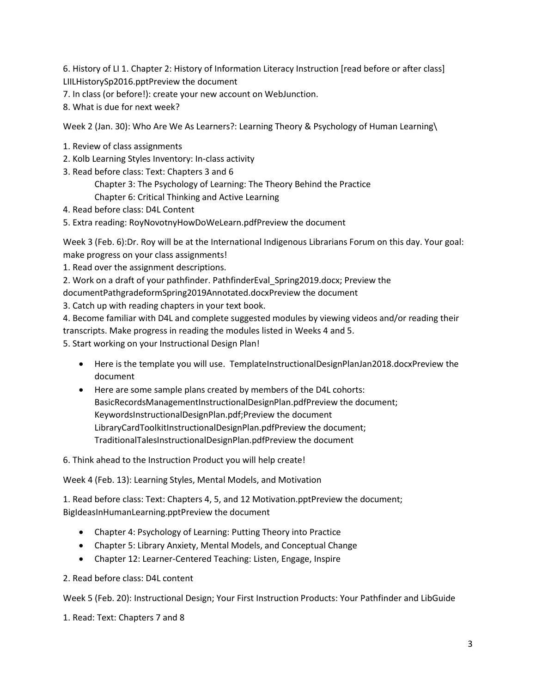6. History of LI 1. Chapter 2: History of Information Literacy Instruction [read before or after class] LIILHistorySp2016.pptPreview the document

- 7. In class (or before!): create your new account on WebJunction.
- 8. What is due for next week?

Week 2 (Jan. 30): Who Are We As Learners?: Learning Theory & Psychology of Human Learning\

- 1. Review of class assignments
- 2. Kolb Learning Styles Inventory: In-class activity
- 3. Read before class: Text: Chapters 3 and 6
	- Chapter 3: The Psychology of Learning: The Theory Behind the Practice Chapter 6: Critical Thinking and Active Learning
- 4. Read before class: D4L Content
- 5. Extra reading: RoyNovotnyHowDoWeLearn.pdfPreview the document

Week 3 (Feb. 6):Dr. Roy will be at the International Indigenous Librarians Forum on this day. Your goal: make progress on your class assignments!

1. Read over the assignment descriptions.

2. Work on a draft of your pathfinder. PathfinderEval Spring2019.docx; Preview the

documentPathgradeformSpring2019Annotated.docxPreview the document

3. Catch up with reading chapters in your text book.

4. Become familiar with D4L and complete suggested modules by viewing videos and/or reading their transcripts. Make progress in reading the modules listed in Weeks 4 and 5.

5. Start working on your Instructional Design Plan!

- Here is the template you will use. TemplateInstructionalDesignPlanJan2018.docxPreview the document
- Here are some sample plans created by members of the D4L cohorts: BasicRecordsManagementInstructionalDesignPlan.pdfPreview the document; KeywordsInstructionalDesignPlan.pdf;Preview the document LibraryCardToolkitInstructionalDesignPlan.pdfPreview the document; TraditionalTalesInstructionalDesignPlan.pdfPreview the document

6. Think ahead to the Instruction Product you will help create!

Week 4 (Feb. 13): Learning Styles, Mental Models, and Motivation

1. Read before class: Text: Chapters 4, 5, and 12 Motivation.pptPreview the document; BigIdeasInHumanLearning.pptPreview the document

- Chapter 4: Psychology of Learning: Putting Theory into Practice
- Chapter 5: Library Anxiety, Mental Models, and Conceptual Change
- Chapter 12: Learner-Centered Teaching: Listen, Engage, Inspire
- 2. Read before class: D4L content

Week 5 (Feb. 20): Instructional Design; Your First Instruction Products: Your Pathfinder and LibGuide

1. Read: Text: Chapters 7 and 8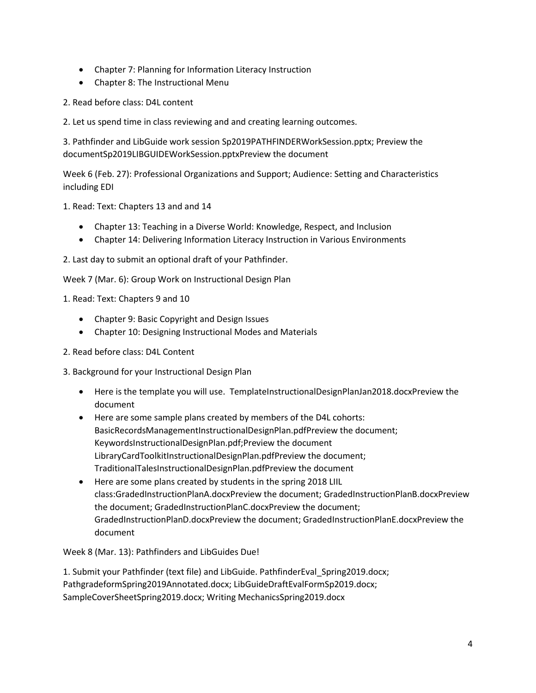- Chapter 7: Planning for Information Literacy Instruction
- Chapter 8: The Instructional Menu
- 2. Read before class: D4L content
- 2. Let us spend time in class reviewing and and creating learning outcomes.

3. Pathfinder and LibGuide work session Sp2019PATHFINDERWorkSession.pptx; Preview the documentSp2019LIBGUIDEWorkSession.pptxPreview the document

Week 6 (Feb. 27): Professional Organizations and Support; Audience: Setting and Characteristics including EDI

1. Read: Text: Chapters 13 and and 14

- Chapter 13: Teaching in a Diverse World: Knowledge, Respect, and Inclusion
- Chapter 14: Delivering Information Literacy Instruction in Various Environments
- 2. Last day to submit an optional draft of your Pathfinder.

Week 7 (Mar. 6): Group Work on Instructional Design Plan

1. Read: Text: Chapters 9 and 10

- Chapter 9: Basic Copyright and Design Issues
- Chapter 10: Designing Instructional Modes and Materials
- 2. Read before class: D4L Content
- 3. Background for your Instructional Design Plan
	- Here is the template you will use. TemplateInstructionalDesignPlanJan2018.docxPreview the document
	- Here are some sample plans created by members of the D4L cohorts: BasicRecordsManagementInstructionalDesignPlan.pdfPreview the document; KeywordsInstructionalDesignPlan.pdf;Preview the document LibraryCardToolkitInstructionalDesignPlan.pdfPreview the document; TraditionalTalesInstructionalDesignPlan.pdfPreview the document
	- Here are some plans created by students in the spring 2018 LIIL class:GradedInstructionPlanA.docxPreview the document; GradedInstructionPlanB.docxPreview the document; GradedInstructionPlanC.docxPreview the document; GradedInstructionPlanD.docxPreview the document; GradedInstructionPlanE.docxPreview the document

Week 8 (Mar. 13): Pathfinders and LibGuides Due!

1. Submit your Pathfinder (text file) and LibGuide. PathfinderEval\_Spring2019.docx; PathgradeformSpring2019Annotated.docx; LibGuideDraftEvalFormSp2019.docx; SampleCoverSheetSpring2019.docx; Writing MechanicsSpring2019.docx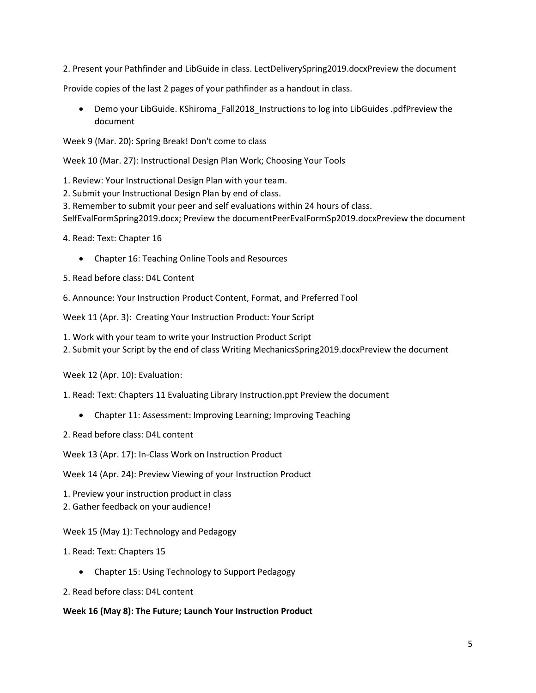2. Present your Pathfinder and LibGuide in class. LectDeliverySpring2019.docxPreview the document

Provide copies of the last 2 pages of your pathfinder as a handout in class.

 Demo your LibGuide. KShiroma\_Fall2018\_Instructions to log into LibGuides .pdfPreview the document

Week 9 (Mar. 20): Spring Break! Don't come to class

Week 10 (Mar. 27): Instructional Design Plan Work; Choosing Your Tools

1. Review: Your Instructional Design Plan with your team.

2. Submit your Instructional Design Plan by end of class.

3. Remember to submit your peer and self evaluations within 24 hours of class.

SelfEvalFormSpring2019.docx; Preview the documentPeerEvalFormSp2019.docxPreview the document

4. Read: Text: Chapter 16

Chapter 16: Teaching Online Tools and Resources

5. Read before class: D4L Content

6. Announce: Your Instruction Product Content, Format, and Preferred Tool

Week 11 (Apr. 3): Creating Your Instruction Product: Your Script

1. Work with your team to write your Instruction Product Script

2. Submit your Script by the end of class Writing MechanicsSpring2019.docxPreview the document

Week 12 (Apr. 10): Evaluation:

1. Read: Text: Chapters 11 Evaluating Library Instruction.ppt Preview the document

- Chapter 11: Assessment: Improving Learning; Improving Teaching
- 2. Read before class: D4L content

Week 13 (Apr. 17): In-Class Work on Instruction Product

Week 14 (Apr. 24): Preview Viewing of your Instruction Product

- 1. Preview your instruction product in class
- 2. Gather feedback on your audience!

Week 15 (May 1): Technology and Pedagogy

- 1. Read: Text: Chapters 15
	- Chapter 15: Using Technology to Support Pedagogy
- 2. Read before class: D4L content

## **Week 16 (May 8): The Future; Launch Your Instruction Product**